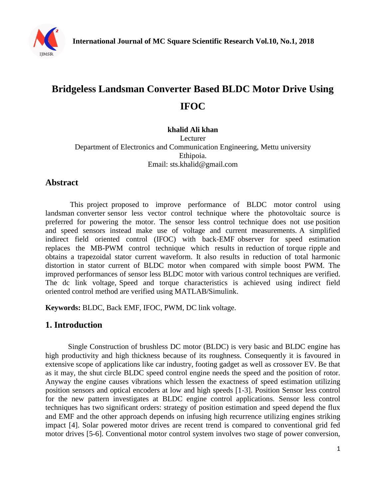

# **Bridgeless Landsman Converter Based BLDC Motor Drive Using IFOC**

# **khalid Ali khan**

Lecturer Department of Electronics and Communication Engineering, Mettu university Ethipoia. Email: sts.khalid@gmail.com

## **Abstract**

This project proposed to improve performance of BLDC motor control using landsman converter sensor less vector control technique where the photovoltaic source is preferred for powering the motor. The sensor less control technique does not use position and speed sensors instead make use of voltage and current measurements. A simplified indirect field oriented control (IFOC) with back-EMF observer for speed estimation replaces the MB-PWM control technique which results in reduction of torque ripple and obtains a trapezoidal stator current waveform. It also results in reduction of total harmonic distortion in stator current of BLDC motor when compared with simple boost PWM. The improved performances of sensor less BLDC motor with various control techniques are verified. The dc link voltage, Speed and torque characteristics is achieved using indirect field oriented control method are verified using MATLAB/Simulink.

**Keywords:** BLDC, Back EMF, IFOC, PWM, DC link voltage.

## **1. Introduction**

Single Construction of brushless DC motor (BLDC) is very basic and BLDC engine has high productivity and high thickness because of its roughness. Consequently it is favoured in extensive scope of applications like car industry, footing gadget as well as crossover EV. Be that as it may, the shut circle BLDC speed control engine needs the speed and the position of rotor. Anyway the engine causes vibrations which lessen the exactness of speed estimation utilizing position sensors and optical encoders at low and high speeds [1-3]. Position Sensor less control for the new pattern investigates at BLDC engine control applications. Sensor less control techniques has two significant orders: strategy of position estimation and speed depend the flux and EMF and the other approach depends on infusing high recurrence utilizing engines striking impact [4]. Solar powered motor drives are recent trend is compared to conventional grid fed motor drives [5-6]. Conventional motor control system involves two stage of power conversion,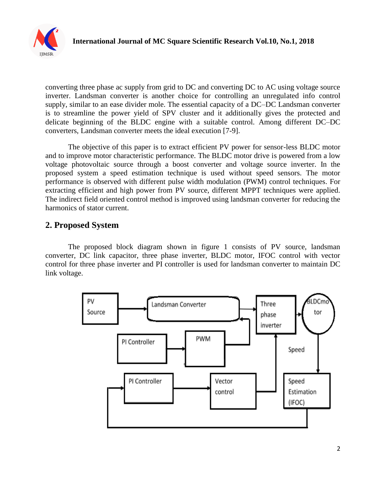

converting three phase ac supply from grid to DC and converting DC to AC using voltage source inverter. Landsman converter is another choice for controlling an unregulated info control supply, similar to an ease divider mole. The essential capacity of a DC–DC Landsman converter is to streamline the power yield of SPV cluster and it additionally gives the protected and delicate beginning of the BLDC engine with a suitable control. Among different DC–DC converters, Landsman converter meets the ideal execution [7-9].

The objective of this paper is to extract efficient PV power for sensor-less BLDC motor and to improve motor characteristic performance. The BLDC motor drive is powered from a low voltage photovoltaic source through a boost converter and voltage source inverter. In the proposed system a speed estimation technique is used without speed sensors. The motor performance is observed with different pulse width modulation (PWM) control techniques. For extracting efficient and high power from PV source, different MPPT techniques were applied. The indirect field oriented control method is improved using landsman converter for reducing the harmonics of stator current.

## **2. Proposed System**

The proposed block diagram shown in figure 1 consists of PV source, landsman converter, DC link capacitor, three phase inverter, BLDC motor, IFOC control with vector control for three phase inverter and PI controller is used for landsman converter to maintain DC link voltage.

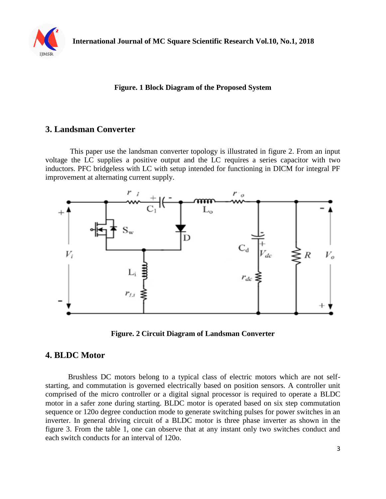

#### **Figure. 1 Block Diagram of the Proposed System**

#### **3. Landsman Converter**

This paper use the landsman converter topology is illustrated in figure 2. From an input voltage the LC supplies a positive output and the LC requires a series capacitor with two inductors. PFC bridgeless with LC with setup intended for functioning in DICM for integral PF improvement at alternating current supply.





#### **4. BLDC Motor**

Brushless DC motors belong to a typical class of electric motors which are not selfstarting, and commutation is governed electrically based on position sensors. A controller unit comprised of the micro controller or a digital signal processor is required to operate a BLDC motor in a safer zone during starting. BLDC motor is operated based on six step commutation sequence or 120o degree conduction mode to generate switching pulses for power switches in an inverter. In general driving circuit of a BLDC motor is three phase inverter as shown in the figure 3. From the table 1, one can observe that at any instant only two switches conduct and each switch conducts for an interval of 120o.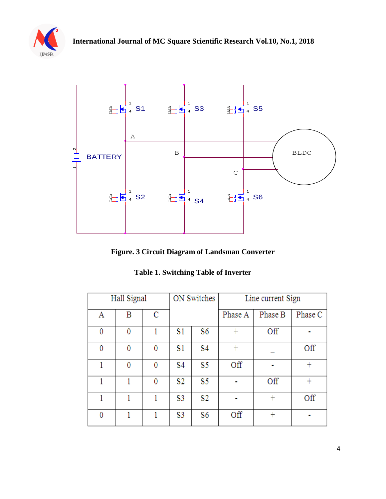



**Figure. 3 Circuit Diagram of Landsman Converter** 

| <b>Table 1. Switching Table of Inverter</b> |  |
|---------------------------------------------|--|
|                                             |  |

| Hall Signal |   | ON Switches |                | Line current Sign |         |         |         |
|-------------|---|-------------|----------------|-------------------|---------|---------|---------|
| Α           | В | C           |                |                   | Phase A | Phase B | Phase C |
| 0           | 0 |             | S1             | S6                | $\pm$   | Off     |         |
| 0           | 0 | 0           | S1             | S4                | $^{+}$  |         | Off     |
| 1           | 0 | 0           | S4             | S5                | Off     |         |         |
|             |   | 0           | S <sub>2</sub> | S5                |         | Off     |         |
|             |   |             | S3             | S <sub>2</sub>    |         | ┿       | Off     |
| 0           |   |             | S3             | S6                | Off     |         |         |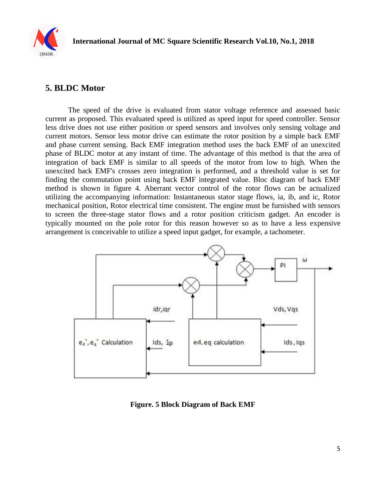

### **5. BLDC Motor**

The speed of the drive is evaluated from stator voltage reference and assessed basic current as proposed. This evaluated speed is utilized as speed input for speed controller. Sensor less drive does not use either position or speed sensors and involves only sensing voltage and current motors. Sensor less motor drive can estimate the rotor position by a simple back EMF and phase current sensing. Back EMF integration method uses the back EMF of an unexcited phase of BLDC motor at any instant of time. The advantage of this method is that the area of integration of back EMF is similar to all speeds of the motor from low to high. When the unexcited back EMF's crosses zero integration is performed, and a threshold value is set for finding the commutation point using back EMF integrated value. Bloc diagram of back EMF method is shown in figure 4. Aberrant vector control of the rotor flows can be actualized utilizing the accompanying information: Instantaneous stator stage flows, ia, ib, and ic, Rotor mechanical position, Rotor electrical time consistent. The engine must be furnished with sensors to screen the three-stage stator flows and a rotor position criticism gadget. An encoder is typically mounted on the pole rotor for this reason however so as to have a less expensive arrangement is conceivable to utilize a speed input gadget, for example, a tachometer.



**Figure. 5 Block Diagram of Back EMF**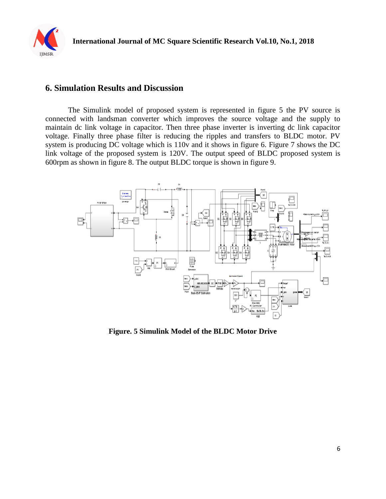

### **6. Simulation Results and Discussion**

The Simulink model of proposed system is represented in figure 5 the PV source is connected with landsman converter which improves the source voltage and the supply to maintain dc link voltage in capacitor. Then three phase inverter is inverting dc link capacitor voltage. Finally three phase filter is reducing the ripples and transfers to BLDC motor. PV system is producing DC voltage which is 110v and it shows in figure 6. Figure 7 shows the DC link voltage of the proposed system is 120V. The output speed of BLDC proposed system is 600rpm as shown in figure 8. The output BLDC torque is shown in figure 9.



**Figure. 5 Simulink Model of the BLDC Motor Drive**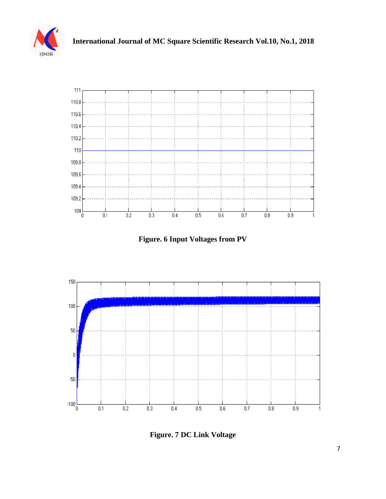



**Figure. 6 Input Voltages from PV**



**Figure. 7 DC Link Voltage**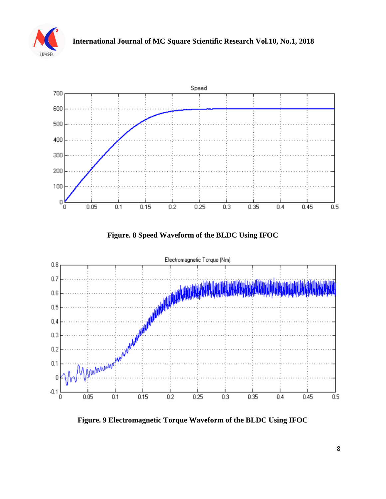



**Figure. 8 Speed Waveform of the BLDC Using IFOC** 



**Figure. 9 Electromagnetic Torque Waveform of the BLDC Using IFOC**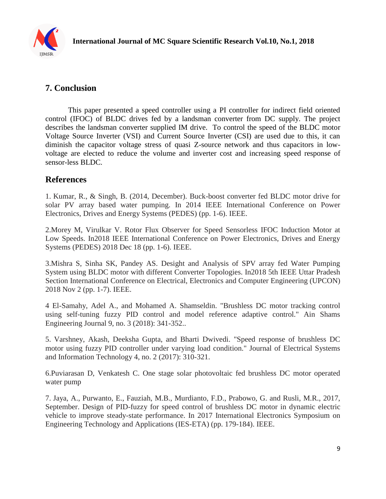

# **7. Conclusion**

This paper presented a speed controller using a PI controller for indirect field oriented control (IFOC) of BLDC drives fed by a landsman converter from DC supply. The project describes the landsman converter supplied IM drive. To control the speed of the BLDC motor Voltage Source Inverter (VSI) and Current Source Inverter (CSI) are used due to this, it can diminish the capacitor voltage stress of quasi Z-source network and thus capacitors in lowvoltage are elected to reduce the volume and inverter cost and increasing speed response of sensor-less BLDC.

# **References**

1. Kumar, R., & Singh, B. (2014, December). Buck-boost converter fed BLDC motor drive for solar PV array based water pumping. In 2014 IEEE International Conference on Power Electronics, Drives and Energy Systems (PEDES) (pp. 1-6). IEEE.

2.Morey M, Virulkar V. Rotor Flux Observer for Speed Sensorless IFOC Induction Motor at Low Speeds. In2018 IEEE International Conference on Power Electronics, Drives and Energy Systems (PEDES) 2018 Dec 18 (pp. 1-6). IEEE.

3.Mishra S, Sinha SK, Pandey AS. Desight and Analysis of SPV array fed Water Pumping System using BLDC motor with different Converter Topologies. In2018 5th IEEE Uttar Pradesh Section International Conference on Electrical, Electronics and Computer Engineering (UPCON) 2018 Nov 2 (pp. 1-7). IEEE.

4 El-Samahy, Adel A., and Mohamed A. Shamseldin. "Brushless DC motor tracking control using self-tuning fuzzy PID control and model reference adaptive control." Ain Shams Engineering Journal 9, no. 3 (2018): 341-352..

5. Varshney, Akash, Deeksha Gupta, and Bharti Dwivedi. "Speed response of brushless DC motor using fuzzy PID controller under varying load condition." Journal of Electrical Systems and Information Technology 4, no. 2 (2017): 310-321.

6.Puviarasan D, Venkatesh C. One stage solar photovoltaic fed brushless DC motor operated water pump

7. Jaya, A., Purwanto, E., Fauziah, M.B., Murdianto, F.D., Prabowo, G. and Rusli, M.R., 2017, September. Design of PID-fuzzy for speed control of brushless DC motor in dynamic electric vehicle to improve steady-state performance. In 2017 International Electronics Symposium on Engineering Technology and Applications (IES-ETA) (pp. 179-184). IEEE.